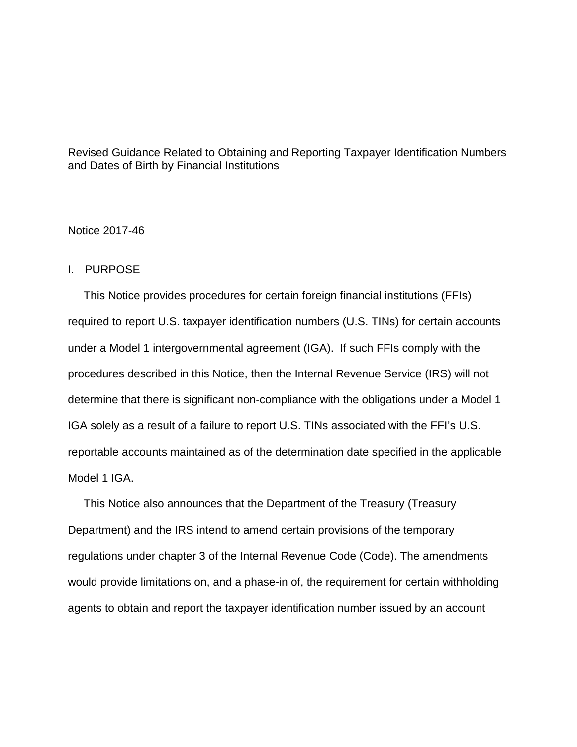Revised Guidance Related to Obtaining and Reporting Taxpayer Identification Numbers and Dates of Birth by Financial Institutions

## Notice 2017-46

## I. PURPOSE

 This Notice provides procedures for certain foreign financial institutions (FFIs) required to report U.S. taxpayer identification numbers (U.S. TINs) for certain accounts under a Model 1 intergovernmental agreement (IGA). If such FFIs comply with the procedures described in this Notice, then the Internal Revenue Service (IRS) will not determine that there is significant non-compliance with the obligations under a Model 1 IGA solely as a result of a failure to report U.S. TINs associated with the FFI's U.S. reportable accounts maintained as of the determination date specified in the applicable Model 1 IGA.

 This Notice also announces that the Department of the Treasury (Treasury Department) and the IRS intend to amend certain provisions of the temporary regulations under chapter 3 of the Internal Revenue Code (Code). The amendments would provide limitations on, and a phase-in of, the requirement for certain withholding agents to obtain and report the taxpayer identification number issued by an account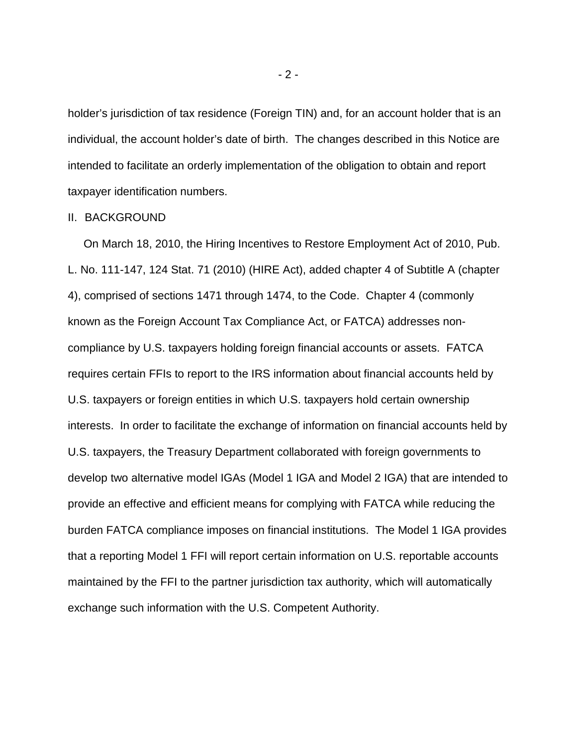holder's jurisdiction of tax residence (Foreign TIN) and, for an account holder that is an individual, the account holder's date of birth. The changes described in this Notice are intended to facilitate an orderly implementation of the obligation to obtain and report taxpayer identification numbers.

### II. BACKGROUND

 On March 18, 2010, the Hiring Incentives to Restore Employment Act of 2010, Pub. L. No. 111-147, 124 Stat. 71 (2010) (HIRE Act), added chapter 4 of Subtitle A (chapter 4), comprised of sections 1471 through 1474, to the Code. Chapter 4 (commonly known as the Foreign Account Tax Compliance Act, or FATCA) addresses noncompliance by U.S. taxpayers holding foreign financial accounts or assets. FATCA requires certain FFIs to report to the IRS information about financial accounts held by U.S. taxpayers or foreign entities in which U.S. taxpayers hold certain ownership interests. In order to facilitate the exchange of information on financial accounts held by U.S. taxpayers, the Treasury Department collaborated with foreign governments to develop two alternative model IGAs (Model 1 IGA and Model 2 IGA) that are intended to provide an effective and efficient means for complying with FATCA while reducing the burden FATCA compliance imposes on financial institutions. The Model 1 IGA provides that a reporting Model 1 FFI will report certain information on U.S. reportable accounts maintained by the FFI to the partner jurisdiction tax authority, which will automatically exchange such information with the U.S. Competent Authority.

- 2 -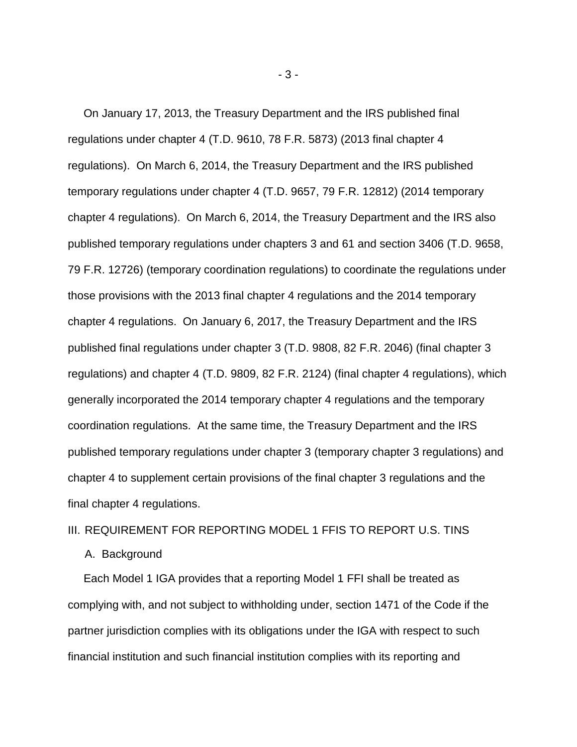On January 17, 2013, the Treasury Department and the IRS published final regulations under chapter 4 (T.D. 9610, 78 F.R. 5873) (2013 final chapter 4 regulations). On March 6, 2014, the Treasury Department and the IRS published temporary regulations under chapter 4 (T.D. 9657, 79 F.R. 12812) (2014 temporary chapter 4 regulations). On March 6, 2014, the Treasury Department and the IRS also published temporary regulations under chapters 3 and 61 and section 3406 (T.D. 9658, 79 F.R. 12726) (temporary coordination regulations) to coordinate the regulations under those provisions with the 2013 final chapter 4 regulations and the 2014 temporary chapter 4 regulations. On January 6, 2017, the Treasury Department and the IRS published final regulations under chapter 3 (T.D. 9808, 82 F.R. 2046) (final chapter 3 regulations) and chapter 4 (T.D. 9809, 82 F.R. 2124) (final chapter 4 regulations), which generally incorporated the 2014 temporary chapter 4 regulations and the temporary coordination regulations. At the same time, the Treasury Department and the IRS published temporary regulations under chapter 3 (temporary chapter 3 regulations) and chapter 4 to supplement certain provisions of the final chapter 3 regulations and the final chapter 4 regulations.

## III. REQUIREMENT FOR REPORTING MODEL 1 FFIS TO REPORT U.S. TINS

#### A. Background

 Each Model 1 IGA provides that a reporting Model 1 FFI shall be treated as complying with, and not subject to withholding under, section 1471 of the Code if the partner jurisdiction complies with its obligations under the IGA with respect to such financial institution and such financial institution complies with its reporting and

- 3 -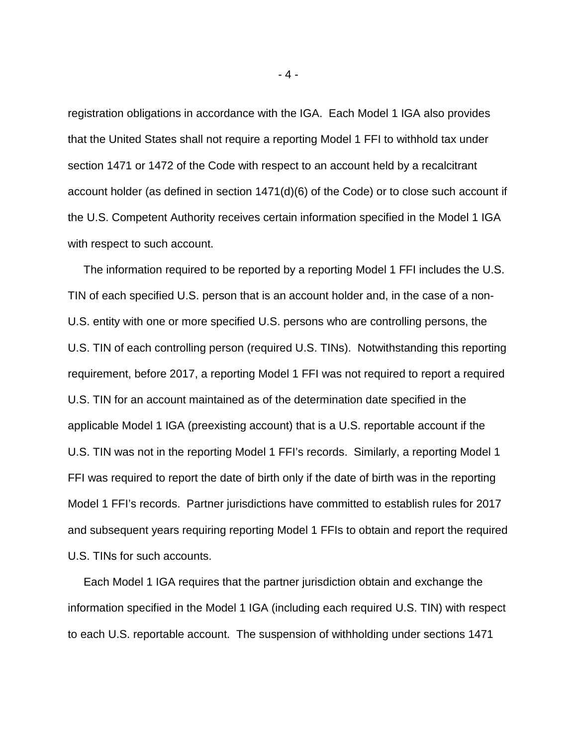registration obligations in accordance with the IGA. Each Model 1 IGA also provides that the United States shall not require a reporting Model 1 FFI to withhold tax under section 1471 or 1472 of the Code with respect to an account held by a recalcitrant account holder (as defined in section 1471(d)(6) of the Code) or to close such account if the U.S. Competent Authority receives certain information specified in the Model 1 IGA with respect to such account.

 The information required to be reported by a reporting Model 1 FFI includes the U.S. TIN of each specified U.S. person that is an account holder and, in the case of a non-U.S. entity with one or more specified U.S. persons who are controlling persons, the U.S. TIN of each controlling person (required U.S. TINs). Notwithstanding this reporting requirement, before 2017, a reporting Model 1 FFI was not required to report a required U.S. TIN for an account maintained as of the determination date specified in the applicable Model 1 IGA (preexisting account) that is a U.S. reportable account if the U.S. TIN was not in the reporting Model 1 FFI's records. Similarly, a reporting Model 1 FFI was required to report the date of birth only if the date of birth was in the reporting Model 1 FFI's records. Partner jurisdictions have committed to establish rules for 2017 and subsequent years requiring reporting Model 1 FFIs to obtain and report the required U.S. TINs for such accounts.

 Each Model 1 IGA requires that the partner jurisdiction obtain and exchange the information specified in the Model 1 IGA (including each required U.S. TIN) with respect to each U.S. reportable account. The suspension of withholding under sections 1471

- 4 -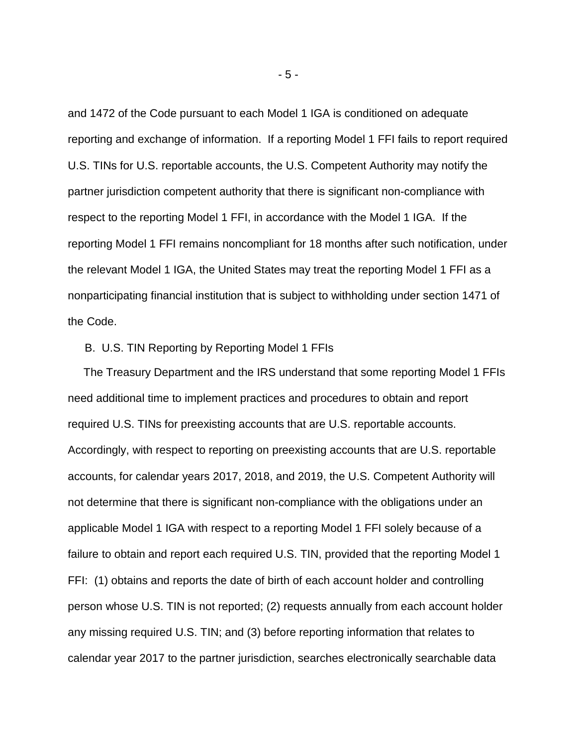and 1472 of the Code pursuant to each Model 1 IGA is conditioned on adequate reporting and exchange of information. If a reporting Model 1 FFI fails to report required U.S. TINs for U.S. reportable accounts, the U.S. Competent Authority may notify the partner jurisdiction competent authority that there is significant non-compliance with respect to the reporting Model 1 FFI, in accordance with the Model 1 IGA. If the reporting Model 1 FFI remains noncompliant for 18 months after such notification, under the relevant Model 1 IGA, the United States may treat the reporting Model 1 FFI as a nonparticipating financial institution that is subject to withholding under section 1471 of the Code.

# B. U.S. TIN Reporting by Reporting Model 1 FFIs

 The Treasury Department and the IRS understand that some reporting Model 1 FFIs need additional time to implement practices and procedures to obtain and report required U.S. TINs for preexisting accounts that are U.S. reportable accounts. Accordingly, with respect to reporting on preexisting accounts that are U.S. reportable accounts, for calendar years 2017, 2018, and 2019, the U.S. Competent Authority will not determine that there is significant non-compliance with the obligations under an applicable Model 1 IGA with respect to a reporting Model 1 FFI solely because of a failure to obtain and report each required U.S. TIN, provided that the reporting Model 1 FFI: (1) obtains and reports the date of birth of each account holder and controlling person whose U.S. TIN is not reported; (2) requests annually from each account holder any missing required U.S. TIN; and (3) before reporting information that relates to calendar year 2017 to the partner jurisdiction, searches electronically searchable data

- 5 -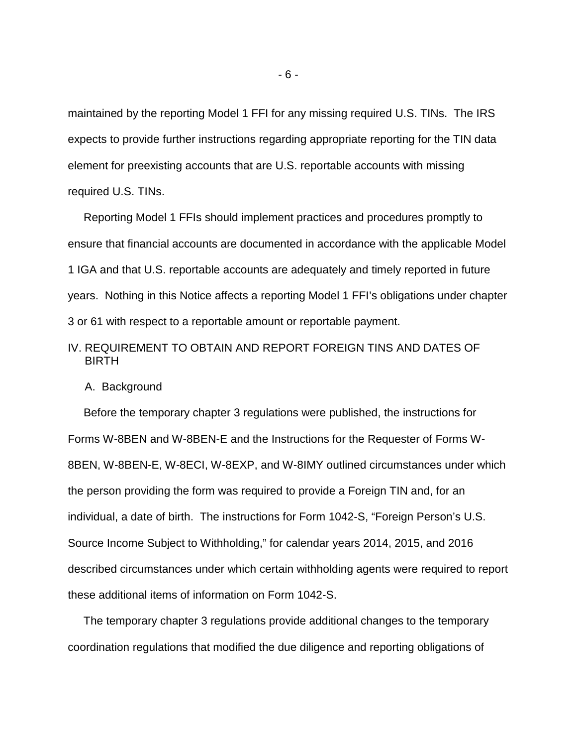maintained by the reporting Model 1 FFI for any missing required U.S. TINs. The IRS expects to provide further instructions regarding appropriate reporting for the TIN data element for preexisting accounts that are U.S. reportable accounts with missing required U.S. TINs.

 Reporting Model 1 FFIs should implement practices and procedures promptly to ensure that financial accounts are documented in accordance with the applicable Model 1 IGA and that U.S. reportable accounts are adequately and timely reported in future years. Nothing in this Notice affects a reporting Model 1 FFI's obligations under chapter 3 or 61 with respect to a reportable amount or reportable payment.

# IV. REQUIREMENT TO OBTAIN AND REPORT FOREIGN TINS AND DATES OF BIRTH

#### A. Background

 Before the temporary chapter 3 regulations were published, the instructions for Forms W-8BEN and W-8BEN-E and the Instructions for the Requester of Forms W-8BEN, W-8BEN-E, W-8ECI, W-8EXP, and W-8IMY outlined circumstances under which the person providing the form was required to provide a Foreign TIN and, for an individual, a date of birth. The instructions for Form 1042-S, "Foreign Person's U.S. Source Income Subject to Withholding," for calendar years 2014, 2015, and 2016 described circumstances under which certain withholding agents were required to report these additional items of information on Form 1042-S.

 The temporary chapter 3 regulations provide additional changes to the temporary coordination regulations that modified the due diligence and reporting obligations of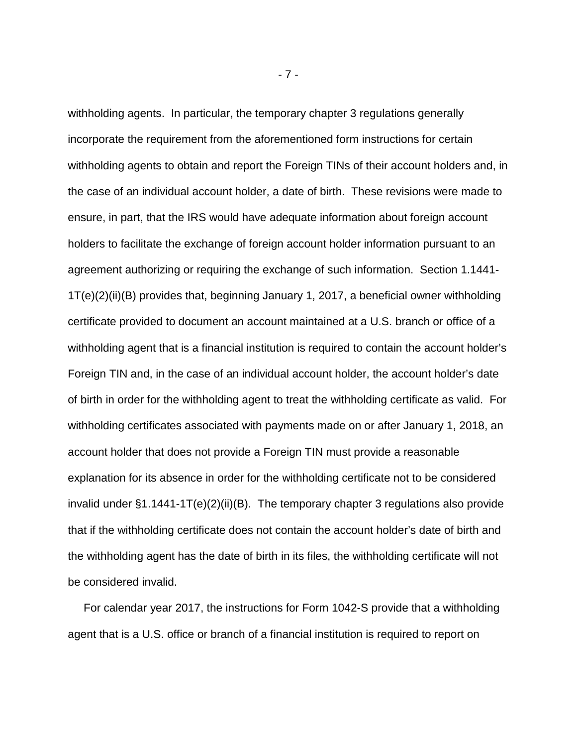withholding agents. In particular, the temporary chapter 3 regulations generally incorporate the requirement from the aforementioned form instructions for certain withholding agents to obtain and report the Foreign TINs of their account holders and, in the case of an individual account holder, a date of birth. These revisions were made to ensure, in part, that the IRS would have adequate information about foreign account holders to facilitate the exchange of foreign account holder information pursuant to an agreement authorizing or requiring the exchange of such information. Section 1.1441- 1T(e)(2)(ii)(B) provides that, beginning January 1, 2017, a beneficial owner withholding certificate provided to document an account maintained at a U.S. branch or office of a withholding agent that is a financial institution is required to contain the account holder's Foreign TIN and, in the case of an individual account holder, the account holder's date of birth in order for the withholding agent to treat the withholding certificate as valid. For withholding certificates associated with payments made on or after January 1, 2018, an account holder that does not provide a Foreign TIN must provide a reasonable explanation for its absence in order for the withholding certificate not to be considered invalid under §1.1441-1T(e)(2)(ii)(B). The temporary chapter 3 regulations also provide that if the withholding certificate does not contain the account holder's date of birth and the withholding agent has the date of birth in its files, the withholding certificate will not be considered invalid.

 For calendar year 2017, the instructions for Form 1042-S provide that a withholding agent that is a U.S. office or branch of a financial institution is required to report on

- 7 -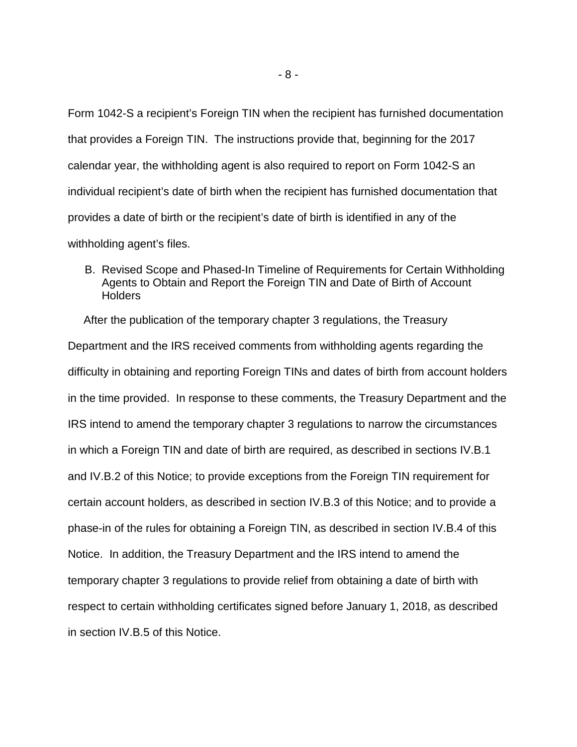Form 1042-S a recipient's Foreign TIN when the recipient has furnished documentation that provides a Foreign TIN. The instructions provide that, beginning for the 2017 calendar year, the withholding agent is also required to report on Form 1042-S an individual recipient's date of birth when the recipient has furnished documentation that provides a date of birth or the recipient's date of birth is identified in any of the withholding agent's files.

B. Revised Scope and Phased-In Timeline of Requirements for Certain Withholding Agents to Obtain and Report the Foreign TIN and Date of Birth of Account **Holders** 

 After the publication of the temporary chapter 3 regulations, the Treasury Department and the IRS received comments from withholding agents regarding the difficulty in obtaining and reporting Foreign TINs and dates of birth from account holders in the time provided. In response to these comments, the Treasury Department and the IRS intend to amend the temporary chapter 3 regulations to narrow the circumstances in which a Foreign TIN and date of birth are required, as described in sections IV.B.1 and IV.B.2 of this Notice; to provide exceptions from the Foreign TIN requirement for certain account holders, as described in section IV.B.3 of this Notice; and to provide a phase-in of the rules for obtaining a Foreign TIN, as described in section IV.B.4 of this Notice. In addition, the Treasury Department and the IRS intend to amend the temporary chapter 3 regulations to provide relief from obtaining a date of birth with respect to certain withholding certificates signed before January 1, 2018, as described in section IV.B.5 of this Notice.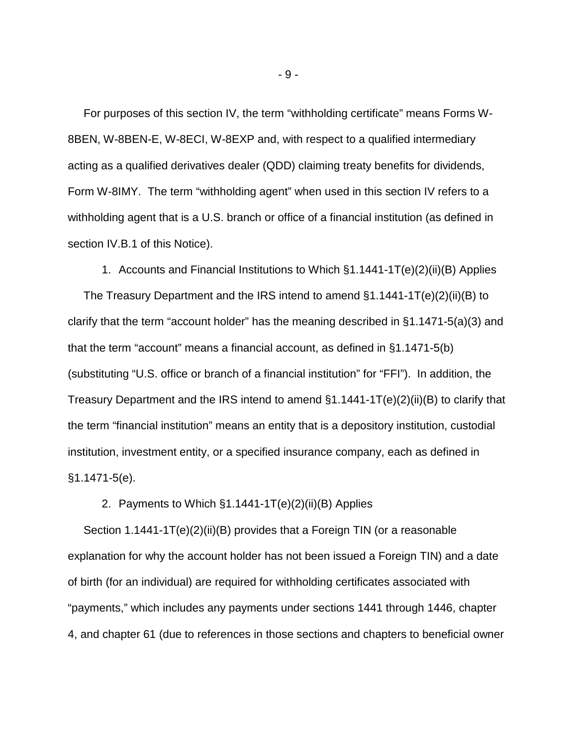For purposes of this section IV, the term "withholding certificate" means Forms W-8BEN, W-8BEN-E, W-8ECI, W-8EXP and, with respect to a qualified intermediary acting as a qualified derivatives dealer (QDD) claiming treaty benefits for dividends, Form W-8IMY. The term "withholding agent" when used in this section IV refers to a withholding agent that is a U.S. branch or office of a financial institution (as defined in section IV.B.1 of this Notice).

1. Accounts and Financial Institutions to Which §1.1441-1T(e)(2)(ii)(B) Applies The Treasury Department and the IRS intend to amend §1.1441-1T(e)(2)(ii)(B) to clarify that the term "account holder" has the meaning described in §1.1471-5(a)(3) and that the term "account" means a financial account, as defined in §1.1471-5(b) (substituting "U.S. office or branch of a financial institution" for "FFI"). In addition, the Treasury Department and the IRS intend to amend §1.1441-1T(e)(2)(ii)(B) to clarify that the term "financial institution" means an entity that is a depository institution, custodial institution, investment entity, or a specified insurance company, each as defined in §1.1471-5(e).

2. Payments to Which §1.1441-1T(e)(2)(ii)(B) Applies

 Section 1.1441-1T(e)(2)(ii)(B) provides that a Foreign TIN (or a reasonable explanation for why the account holder has not been issued a Foreign TIN) and a date of birth (for an individual) are required for withholding certificates associated with "payments," which includes any payments under sections 1441 through 1446, chapter 4, and chapter 61 (due to references in those sections and chapters to beneficial owner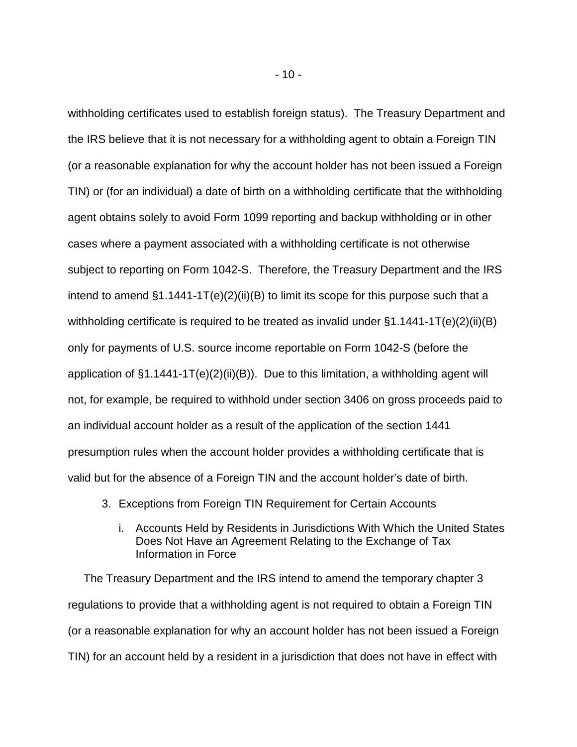withholding certificates used to establish foreign status). The Treasury Department and the IRS believe that it is not necessary for a withholding agent to obtain a Foreign TIN (or a reasonable explanation for why the account holder has not been issued a Foreign TIN) or (for an individual) a date of birth on a withholding certificate that the withholding agent obtains solely to avoid Form 1099 reporting and backup withholding or in other cases where a payment associated with a withholding certificate is not otherwise subject to reporting on Form 1042-S. Therefore, the Treasury Department and the IRS intend to amend  $\S1.1441 - 1T(e)(2)(ii)(B)$  to limit its scope for this purpose such that a withholding certificate is required to be treated as invalid under §1.1441-1T(e)(2)(ii)(B) only for payments of U.S. source income reportable on Form 1042-S (before the application of  $\S1.1441 - 1T(e)(2)(ii)(B)$ . Due to this limitation, a withholding agent will not, for example, be required to withhold under section 3406 on gross proceeds paid to an individual account holder as a result of the application of the section 1441 presumption rules when the account holder provides a withholding certificate that is valid but for the absence of a Foreign TIN and the account holder's date of birth.

- 3. Exceptions from Foreign TIN Requirement for Certain Accounts
	- i. Accounts Held by Residents in Jurisdictions With Which the United States Does Not Have an Agreement Relating to the Exchange of Tax Information in Force

 The Treasury Department and the IRS intend to amend the temporary chapter 3 regulations to provide that a withholding agent is not required to obtain a Foreign TIN (or a reasonable explanation for why an account holder has not been issued a Foreign TIN) for an account held by a resident in a jurisdiction that does not have in effect with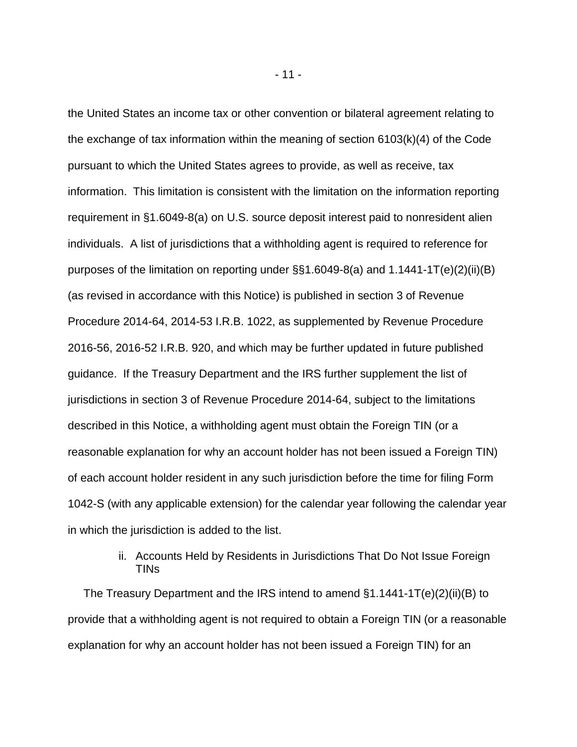the United States an income tax or other convention or bilateral agreement relating to the exchange of tax information within the meaning of section 6103(k)(4) of the Code pursuant to which the United States agrees to provide, as well as receive, tax information. This limitation is consistent with the limitation on the information reporting requirement in §1.6049-8(a) on U.S. source deposit interest paid to nonresident alien individuals. A list of jurisdictions that a withholding agent is required to reference for purposes of the limitation on reporting under §§1.6049-8(a) and 1.1441-1T(e)(2)(ii)(B) (as revised in accordance with this Notice) is published in section 3 of Revenue Procedure 2014-64, 2014-53 I.R.B. 1022, as supplemented by Revenue Procedure 2016-56, 2016-52 I.R.B. 920, and which may be further updated in future published guidance. If the Treasury Department and the IRS further supplement the list of jurisdictions in section 3 of Revenue Procedure 2014-64, subject to the limitations described in this Notice, a withholding agent must obtain the Foreign TIN (or a reasonable explanation for why an account holder has not been issued a Foreign TIN) of each account holder resident in any such jurisdiction before the time for filing Form 1042-S (with any applicable extension) for the calendar year following the calendar year in which the jurisdiction is added to the list.

# ii. Accounts Held by Residents in Jurisdictions That Do Not Issue Foreign TINs

 The Treasury Department and the IRS intend to amend §1.1441-1T(e)(2)(ii)(B) to provide that a withholding agent is not required to obtain a Foreign TIN (or a reasonable explanation for why an account holder has not been issued a Foreign TIN) for an

- 11 -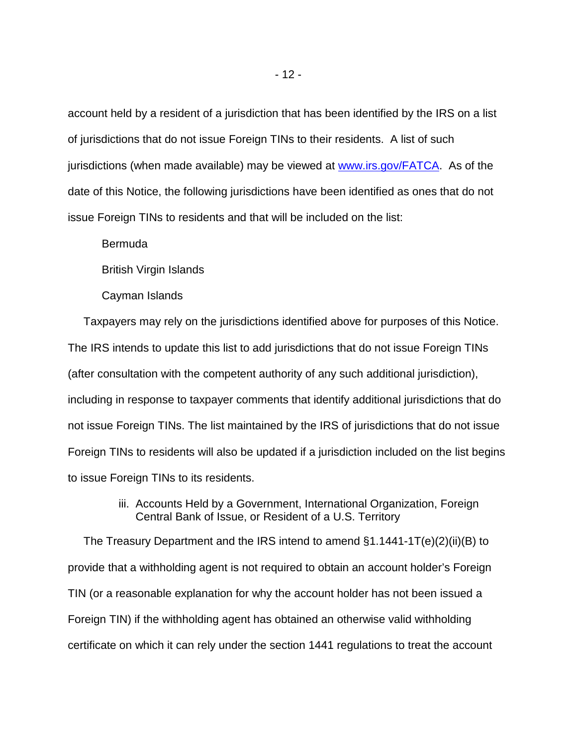account held by a resident of a jurisdiction that has been identified by the IRS on a list of jurisdictions that do not issue Foreign TINs to their residents. A list of such jurisdictions (when made available) may be viewed at [www.irs.gov/FATCA.](http://www.irs.gov/FATCA) As of the date of this Notice, the following jurisdictions have been identified as ones that do not issue Foreign TINs to residents and that will be included on the list:

Bermuda

British Virgin Islands

Cayman Islands

 Taxpayers may rely on the jurisdictions identified above for purposes of this Notice. The IRS intends to update this list to add jurisdictions that do not issue Foreign TINs (after consultation with the competent authority of any such additional jurisdiction), including in response to taxpayer comments that identify additional jurisdictions that do not issue Foreign TINs. The list maintained by the IRS of jurisdictions that do not issue Foreign TINs to residents will also be updated if a jurisdiction included on the list begins to issue Foreign TINs to its residents.

> iii. Accounts Held by a Government, International Organization, Foreign Central Bank of Issue, or Resident of a U.S. Territory

 The Treasury Department and the IRS intend to amend §1.1441-1T(e)(2)(ii)(B) to provide that a withholding agent is not required to obtain an account holder's Foreign TIN (or a reasonable explanation for why the account holder has not been issued a Foreign TIN) if the withholding agent has obtained an otherwise valid withholding certificate on which it can rely under the section 1441 regulations to treat the account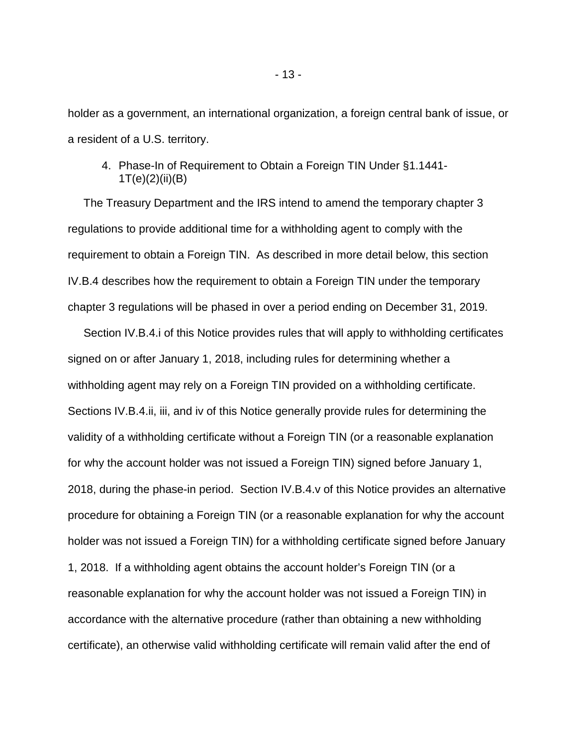holder as a government, an international organization, a foreign central bank of issue, or a resident of a U.S. territory.

4. Phase-In of Requirement to Obtain a Foreign TIN Under §1.1441- 1T(e)(2)(ii)(B)

 The Treasury Department and the IRS intend to amend the temporary chapter 3 regulations to provide additional time for a withholding agent to comply with the requirement to obtain a Foreign TIN. As described in more detail below, this section IV.B.4 describes how the requirement to obtain a Foreign TIN under the temporary chapter 3 regulations will be phased in over a period ending on December 31, 2019.

 Section IV.B.4.i of this Notice provides rules that will apply to withholding certificates signed on or after January 1, 2018, including rules for determining whether a withholding agent may rely on a Foreign TIN provided on a withholding certificate. Sections IV.B.4.ii, iii, and iv of this Notice generally provide rules for determining the validity of a withholding certificate without a Foreign TIN (or a reasonable explanation for why the account holder was not issued a Foreign TIN) signed before January 1, 2018, during the phase-in period. Section IV.B.4.v of this Notice provides an alternative procedure for obtaining a Foreign TIN (or a reasonable explanation for why the account holder was not issued a Foreign TIN) for a withholding certificate signed before January 1, 2018. If a withholding agent obtains the account holder's Foreign TIN (or a reasonable explanation for why the account holder was not issued a Foreign TIN) in accordance with the alternative procedure (rather than obtaining a new withholding certificate), an otherwise valid withholding certificate will remain valid after the end of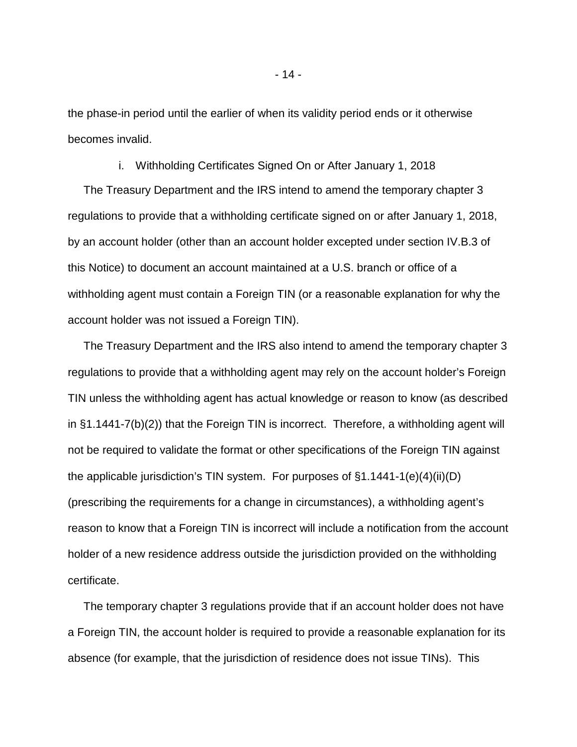the phase-in period until the earlier of when its validity period ends or it otherwise becomes invalid.

i. Withholding Certificates Signed On or After January 1, 2018

 The Treasury Department and the IRS intend to amend the temporary chapter 3 regulations to provide that a withholding certificate signed on or after January 1, 2018, by an account holder (other than an account holder excepted under section IV.B.3 of this Notice) to document an account maintained at a U.S. branch or office of a withholding agent must contain a Foreign TIN (or a reasonable explanation for why the account holder was not issued a Foreign TIN).

 The Treasury Department and the IRS also intend to amend the temporary chapter 3 regulations to provide that a withholding agent may rely on the account holder's Foreign TIN unless the withholding agent has actual knowledge or reason to know (as described in §1.1441-7(b)(2)) that the Foreign TIN is incorrect. Therefore, a withholding agent will not be required to validate the format or other specifications of the Foreign TIN against the applicable jurisdiction's TIN system. For purposes of §1.1441-1(e)(4)(ii)(D) (prescribing the requirements for a change in circumstances), a withholding agent's reason to know that a Foreign TIN is incorrect will include a notification from the account holder of a new residence address outside the jurisdiction provided on the withholding certificate.

 The temporary chapter 3 regulations provide that if an account holder does not have a Foreign TIN, the account holder is required to provide a reasonable explanation for its absence (for example, that the jurisdiction of residence does not issue TINs). This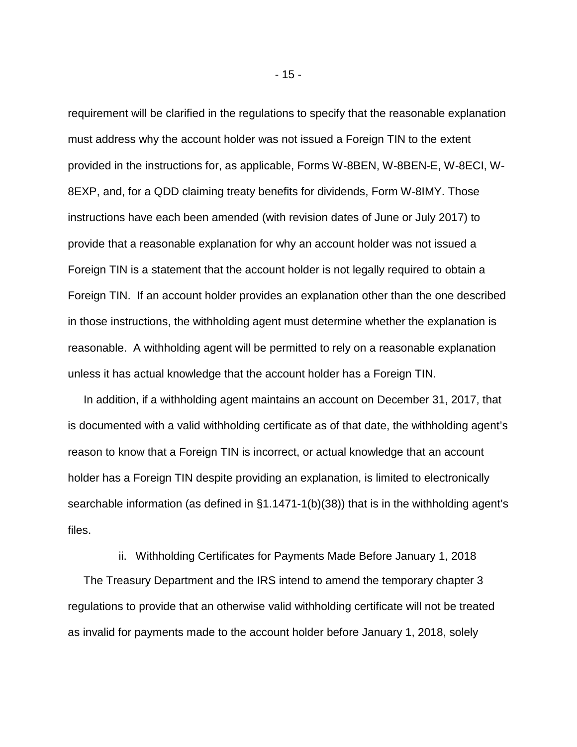requirement will be clarified in the regulations to specify that the reasonable explanation must address why the account holder was not issued a Foreign TIN to the extent provided in the instructions for, as applicable, Forms W-8BEN, W-8BEN-E, W-8ECI, W-8EXP, and, for a QDD claiming treaty benefits for dividends, Form W-8IMY. Those instructions have each been amended (with revision dates of June or July 2017) to provide that a reasonable explanation for why an account holder was not issued a Foreign TIN is a statement that the account holder is not legally required to obtain a Foreign TIN. If an account holder provides an explanation other than the one described in those instructions, the withholding agent must determine whether the explanation is reasonable. A withholding agent will be permitted to rely on a reasonable explanation unless it has actual knowledge that the account holder has a Foreign TIN.

 In addition, if a withholding agent maintains an account on December 31, 2017, that is documented with a valid withholding certificate as of that date, the withholding agent's reason to know that a Foreign TIN is incorrect, or actual knowledge that an account holder has a Foreign TIN despite providing an explanation, is limited to electronically searchable information (as defined in §1.1471-1(b)(38)) that is in the withholding agent's files.

ii. Withholding Certificates for Payments Made Before January 1, 2018

 The Treasury Department and the IRS intend to amend the temporary chapter 3 regulations to provide that an otherwise valid withholding certificate will not be treated as invalid for payments made to the account holder before January 1, 2018, solely

- 15 -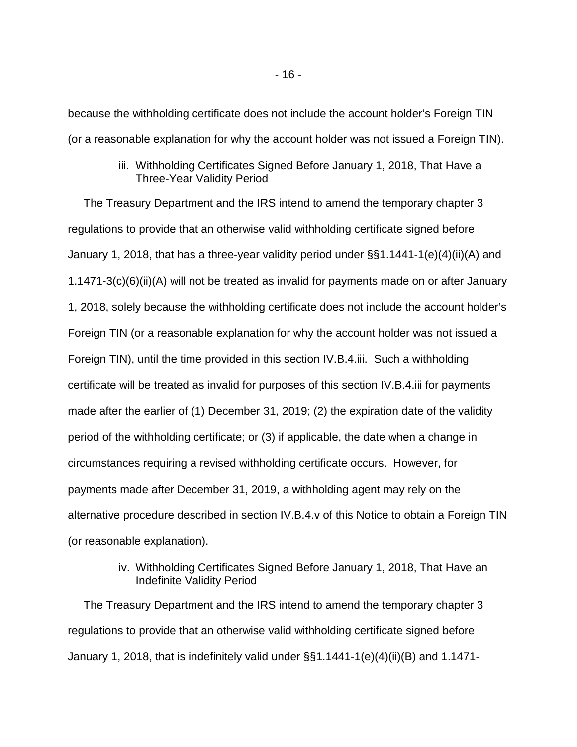because the withholding certificate does not include the account holder's Foreign TIN (or a reasonable explanation for why the account holder was not issued a Foreign TIN).

# iii. Withholding Certificates Signed Before January 1, 2018, That Have a Three-Year Validity Period

 The Treasury Department and the IRS intend to amend the temporary chapter 3 regulations to provide that an otherwise valid withholding certificate signed before January 1, 2018, that has a three-year validity period under §§1.1441-1(e)(4)(ii)(A) and 1.1471-3(c)(6)(ii)(A) will not be treated as invalid for payments made on or after January 1, 2018, solely because the withholding certificate does not include the account holder's Foreign TIN (or a reasonable explanation for why the account holder was not issued a Foreign TIN), until the time provided in this section IV.B.4.iii. Such a withholding certificate will be treated as invalid for purposes of this section IV.B.4.iii for payments made after the earlier of (1) December 31, 2019; (2) the expiration date of the validity period of the withholding certificate; or (3) if applicable, the date when a change in circumstances requiring a revised withholding certificate occurs. However, for payments made after December 31, 2019, a withholding agent may rely on the alternative procedure described in section IV.B.4.v of this Notice to obtain a Foreign TIN (or reasonable explanation).

# iv. Withholding Certificates Signed Before January 1, 2018, That Have an Indefinite Validity Period

 The Treasury Department and the IRS intend to amend the temporary chapter 3 regulations to provide that an otherwise valid withholding certificate signed before January 1, 2018, that is indefinitely valid under §§1.1441-1(e)(4)(ii)(B) and 1.1471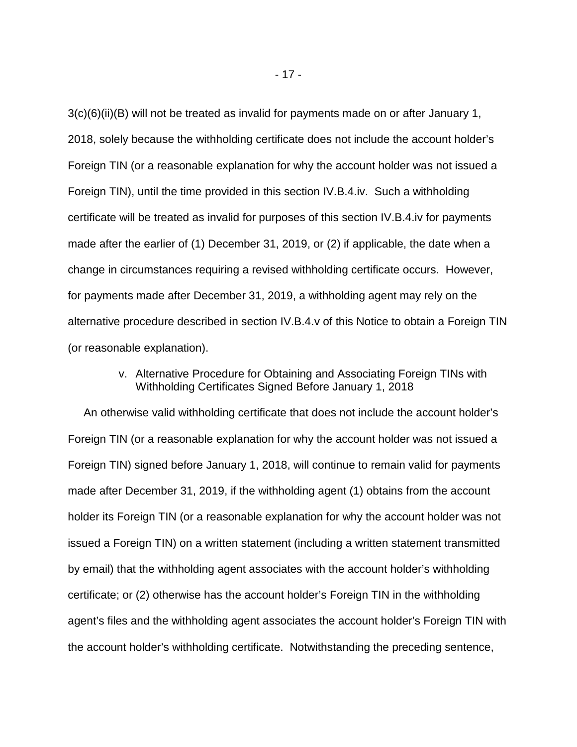3(c)(6)(ii)(B) will not be treated as invalid for payments made on or after January 1, 2018, solely because the withholding certificate does not include the account holder's Foreign TIN (or a reasonable explanation for why the account holder was not issued a Foreign TIN), until the time provided in this section IV.B.4.iv. Such a withholding certificate will be treated as invalid for purposes of this section IV.B.4.iv for payments made after the earlier of (1) December 31, 2019, or (2) if applicable, the date when a change in circumstances requiring a revised withholding certificate occurs. However, for payments made after December 31, 2019, a withholding agent may rely on the alternative procedure described in section IV.B.4.v of this Notice to obtain a Foreign TIN (or reasonable explanation).

# v. Alternative Procedure for Obtaining and Associating Foreign TINs with Withholding Certificates Signed Before January 1, 2018

 An otherwise valid withholding certificate that does not include the account holder's Foreign TIN (or a reasonable explanation for why the account holder was not issued a Foreign TIN) signed before January 1, 2018, will continue to remain valid for payments made after December 31, 2019, if the withholding agent (1) obtains from the account holder its Foreign TIN (or a reasonable explanation for why the account holder was not issued a Foreign TIN) on a written statement (including a written statement transmitted by email) that the withholding agent associates with the account holder's withholding certificate; or (2) otherwise has the account holder's Foreign TIN in the withholding agent's files and the withholding agent associates the account holder's Foreign TIN with the account holder's withholding certificate. Notwithstanding the preceding sentence,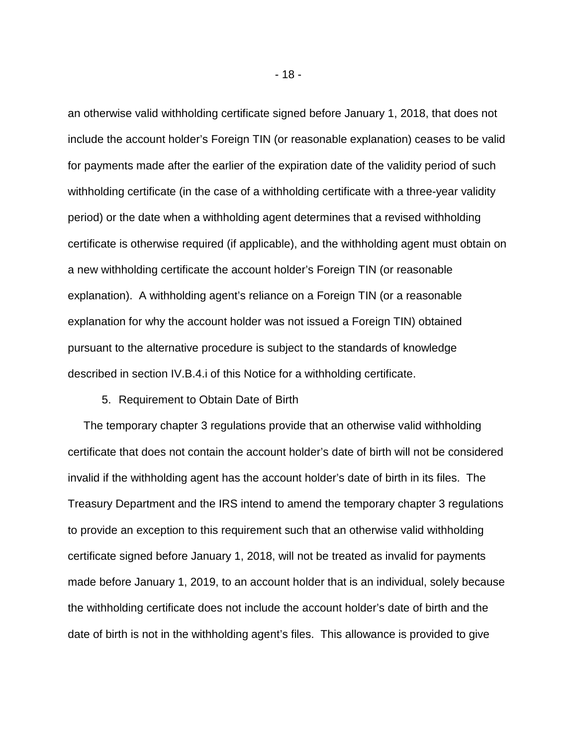an otherwise valid withholding certificate signed before January 1, 2018, that does not include the account holder's Foreign TIN (or reasonable explanation) ceases to be valid for payments made after the earlier of the expiration date of the validity period of such withholding certificate (in the case of a withholding certificate with a three-year validity period) or the date when a withholding agent determines that a revised withholding certificate is otherwise required (if applicable), and the withholding agent must obtain on a new withholding certificate the account holder's Foreign TIN (or reasonable explanation). A withholding agent's reliance on a Foreign TIN (or a reasonable explanation for why the account holder was not issued a Foreign TIN) obtained pursuant to the alternative procedure is subject to the standards of knowledge described in section IV.B.4.i of this Notice for a withholding certificate.

#### 5. Requirement to Obtain Date of Birth

 The temporary chapter 3 regulations provide that an otherwise valid withholding certificate that does not contain the account holder's date of birth will not be considered invalid if the withholding agent has the account holder's date of birth in its files. The Treasury Department and the IRS intend to amend the temporary chapter 3 regulations to provide an exception to this requirement such that an otherwise valid withholding certificate signed before January 1, 2018, will not be treated as invalid for payments made before January 1, 2019, to an account holder that is an individual, solely because the withholding certificate does not include the account holder's date of birth and the date of birth is not in the withholding agent's files. This allowance is provided to give

- 18 -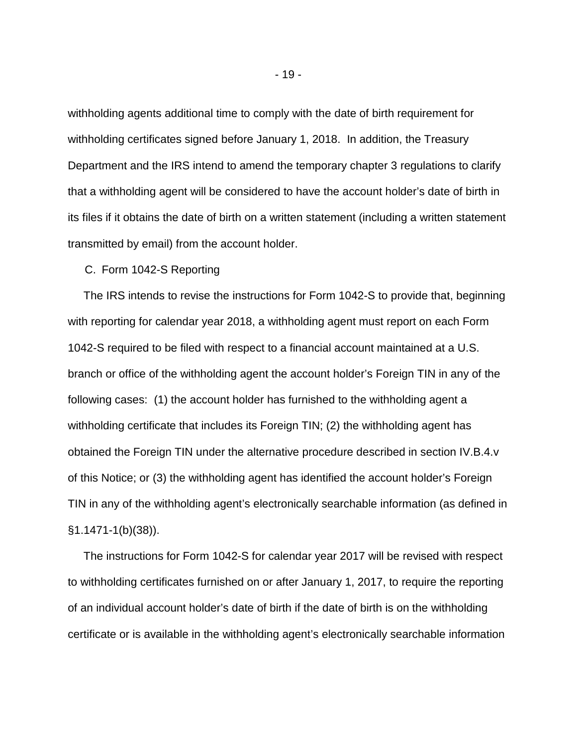withholding agents additional time to comply with the date of birth requirement for withholding certificates signed before January 1, 2018. In addition, the Treasury Department and the IRS intend to amend the temporary chapter 3 regulations to clarify that a withholding agent will be considered to have the account holder's date of birth in its files if it obtains the date of birth on a written statement (including a written statement transmitted by email) from the account holder.

C. Form 1042-S Reporting

 The IRS intends to revise the instructions for Form 1042-S to provide that, beginning with reporting for calendar year 2018, a withholding agent must report on each Form 1042-S required to be filed with respect to a financial account maintained at a U.S. branch or office of the withholding agent the account holder's Foreign TIN in any of the following cases: (1) the account holder has furnished to the withholding agent a withholding certificate that includes its Foreign TIN; (2) the withholding agent has obtained the Foreign TIN under the alternative procedure described in section IV.B.4.v of this Notice; or (3) the withholding agent has identified the account holder's Foreign TIN in any of the withholding agent's electronically searchable information (as defined in §1.1471-1(b)(38)).

 The instructions for Form 1042-S for calendar year 2017 will be revised with respect to withholding certificates furnished on or after January 1, 2017, to require the reporting of an individual account holder's date of birth if the date of birth is on the withholding certificate or is available in the withholding agent's electronically searchable information